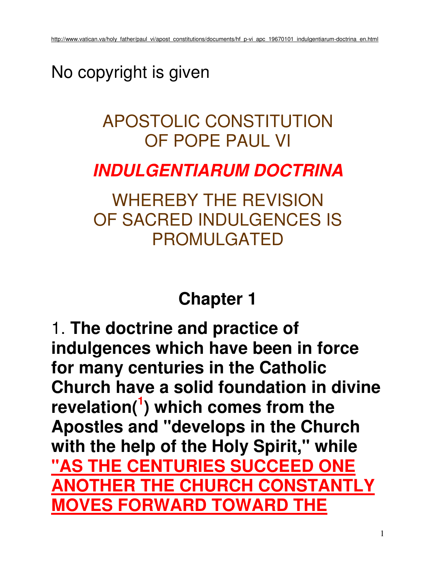### No copyright is given

### APOSTOLIC CONSTITUTION OF POPE PAUL VI

### **INDULGENTIARUM DOCTRINA**

WHEREBY THE REVISION OF SACRED INDULGENCES IS PROMULGATED

### **Chapter 1**

1. **The doctrine and practice of indulgences which have been in force for many centuries in the Catholic Church have a solid foundation in divine revelation(<sup>1</sup> ) which comes from the Apostles and "develops in the Church with the help of the Holy Spirit," while "AS THE CENTURIES SUCCEED ONE ANOTHER THE CHURCH CONSTANTLY MOVES FORWARD TOWARD THE**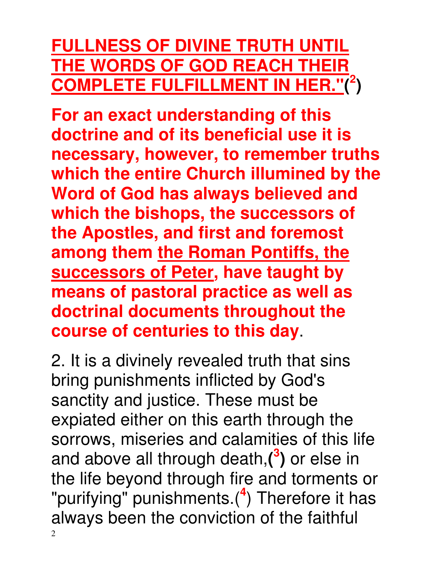### **FULLNESS OF DIVINE TRUTH UNTIL THE WORDS OF GOD REACH THEIR COMPLETE FULFILLMENT IN HER."( 2 )**

**For an exact understanding of this doctrine and of its beneficial use it is necessary, however, to remember truths which the entire Church illumined by the Word of God has always believed and which the bishops, the successors of the Apostles, and first and foremost among them the Roman Pontiffs, the successors of Peter, have taught by means of pastoral practice as well as doctrinal documents throughout the course of centuries to this day**.

2 2. It is a divinely revealed truth that sins bring punishments inflicted by God's sanctity and justice. These must be expiated either on this earth through the sorrows, miseries and calamities of this life and above all through death,**( 3 )** or else in the life beyond through fire and torments or "purifying" punishments.(**<sup>4</sup>** ) Therefore it has always been the conviction of the faithful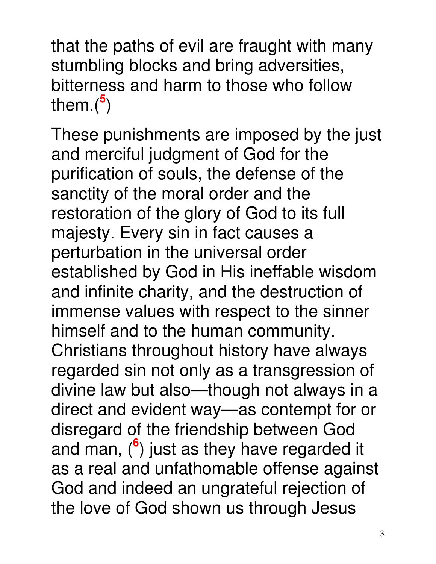that the paths of evil are fraught with many stumbling blocks and bring adversities, bitterness and harm to those who follow them.(**<sup>5</sup>** )

These punishments are imposed by the just and merciful judgment of God for the purification of souls, the defense of the sanctity of the moral order and the restoration of the glory of God to its full majesty. Every sin in fact causes a perturbation in the universal order established by God in His ineffable wisdom and infinite charity, and the destruction of immense values with respect to the sinner himself and to the human community. Christians throughout history have always regarded sin not only as a transgression of divine law but also—though not always in a direct and evident way—as contempt for or disregard of the friendship between God and man, (**<sup>6</sup>** ) just as they have regarded it as a real and unfathomable offense against God and indeed an ungrateful rejection of the love of God shown us through Jesus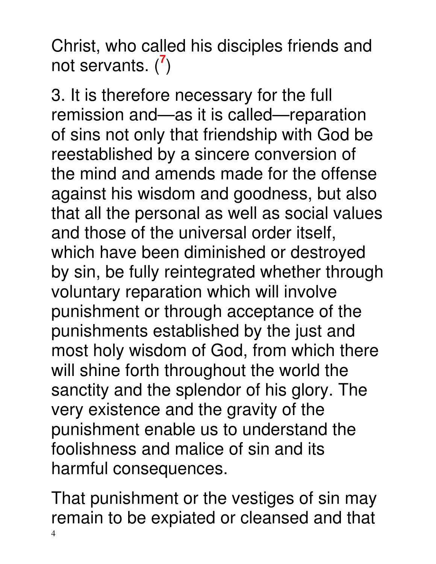Christ, who called his disciples friends and not servants. (**<sup>7</sup>** )

3. It is therefore necessary for the full remission and—as it is called—reparation of sins not only that friendship with God be reestablished by a sincere conversion of the mind and amends made for the offense against his wisdom and goodness, but also that all the personal as well as social values and those of the universal order itself, which have been diminished or destroyed by sin, be fully reintegrated whether through voluntary reparation which will involve punishment or through acceptance of the punishments established by the just and most holy wisdom of God, from which there will shine forth throughout the world the sanctity and the splendor of his glory. The very existence and the gravity of the punishment enable us to understand the foolishness and malice of sin and its harmful consequences.

4 That punishment or the vestiges of sin may remain to be expiated or cleansed and that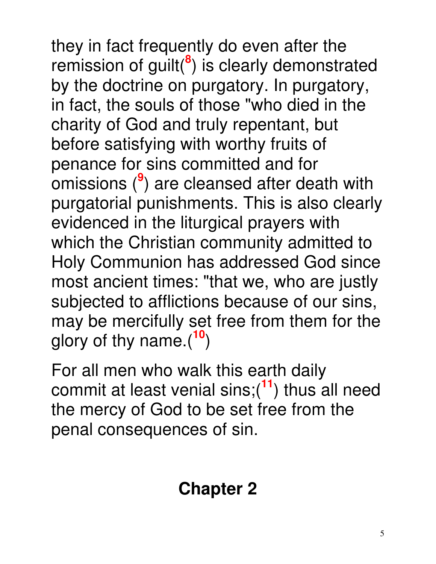they in fact frequently do even after the remission of guilt(**<sup>8</sup>** ) is clearly demonstrated by the doctrine on purgatory. In purgatory, in fact, the souls of those "who died in the charity of God and truly repentant, but before satisfying with worthy fruits of penance for sins committed and for omissions (**<sup>9</sup>** ) are cleansed after death with purgatorial punishments. This is also clearly evidenced in the liturgical prayers with which the Christian community admitted to Holy Communion has addressed God since most ancient times: "that we, who are justly subjected to afflictions because of our sins, may be mercifully set free from them for the glory of thy name.(**<sup>10</sup>**)

For all men who walk this earth daily commit at least venial sins;(**<sup>11</sup>**) thus all need the mercy of God to be set free from the penal consequences of sin.

### **Chapter 2**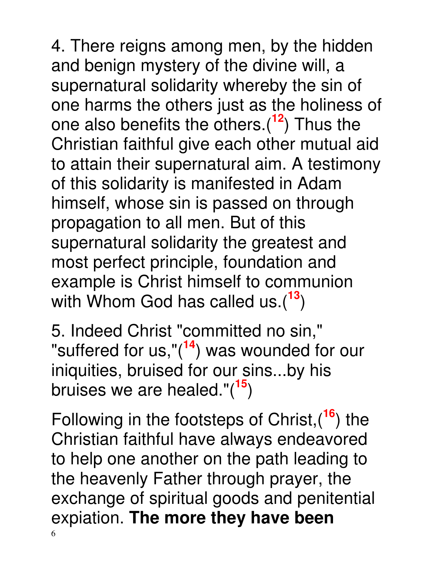4. There reigns among men, by the hidden and benign mystery of the divine will, a supernatural solidarity whereby the sin of one harms the others just as the holiness of one also benefits the others.(**<sup>12</sup>**) Thus the Christian faithful give each other mutual aid to attain their supernatural aim. A testimony of this solidarity is manifested in Adam himself, whose sin is passed on through propagation to all men. But of this supernatural solidarity the greatest and most perfect principle, foundation and example is Christ himself to communion with Whom God has called us.(**<sup>13</sup>**)

5. Indeed Christ "committed no sin," "suffered for us,"(**<sup>14</sup>**) was wounded for our iniquities, bruised for our sins...by his bruises we are healed."(**<sup>15</sup>**)

6 Following in the footsteps of Christ,(**<sup>16</sup>**) the Christian faithful have always endeavored to help one another on the path leading to the heavenly Father through prayer, the exchange of spiritual goods and penitential expiation. **The more they have been**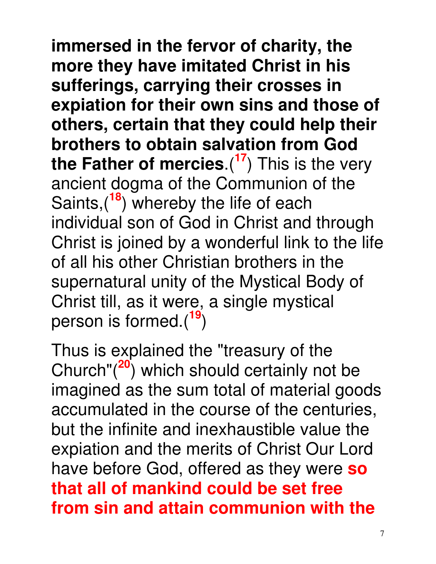**immersed in the fervor of charity, the more they have imitated Christ in his sufferings, carrying their crosses in expiation for their own sins and those of others, certain that they could help their brothers to obtain salvation from God the Father of mercies**.(**<sup>17</sup>**) This is the very ancient dogma of the Communion of the Saints,(**<sup>18</sup>**) whereby the life of each individual son of God in Christ and through Christ is joined by a wonderful link to the life of all his other Christian brothers in the supernatural unity of the Mystical Body of Christ till, as it were, a single mystical person is formed.(**<sup>19</sup>**)

Thus is explained the "treasury of the Church"(**<sup>20</sup>**) which should certainly not be imagined as the sum total of material goods accumulated in the course of the centuries, but the infinite and inexhaustible value the expiation and the merits of Christ Our Lord have before God, offered as they were **so that all of mankind could be set free from sin and attain communion with the**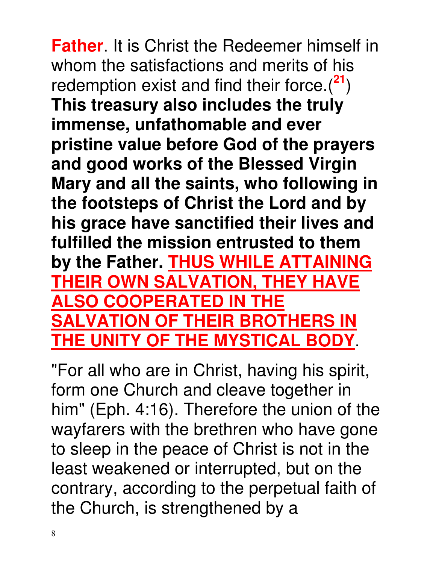**Father**. It is Christ the Redeemer himself in whom the satisfactions and merits of his redemption exist and find their force.(**<sup>21</sup>**) **This treasury also includes the truly immense, unfathomable and ever pristine value before God of the prayers and good works of the Blessed Virgin Mary and all the saints, who following in the footsteps of Christ the Lord and by his grace have sanctified their lives and fulfilled the mission entrusted to them by the Father. THUS WHILE ATTAINING THEIR OWN SALVATION, THEY HAVE ALSO COOPERATED IN THE SALVATION OF THEIR BROTHERS IN THE UNITY OF THE MYSTICAL BODY**.

"For all who are in Christ, having his spirit, form one Church and cleave together in him" (Eph. 4:16). Therefore the union of the wayfarers with the brethren who have gone to sleep in the peace of Christ is not in the least weakened or interrupted, but on the contrary, according to the perpetual faith of the Church, is strengthened by a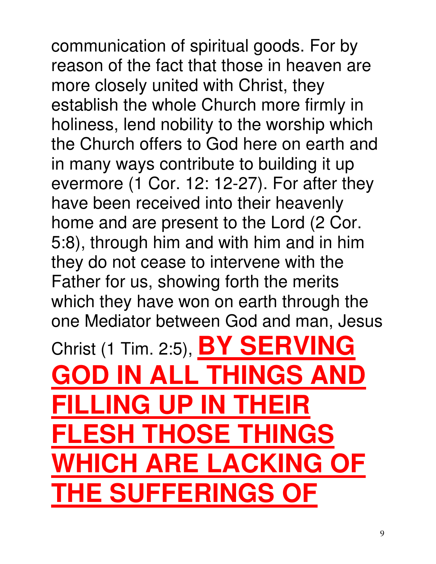communication of spiritual goods. For by reason of the fact that those in heaven are more closely united with Christ, they establish the whole Church more firmly in holiness, lend nobility to the worship which the Church offers to God here on earth and in many ways contribute to building it up evermore (1 Cor. 12: 12-27). For after they have been received into their heavenly home and are present to the Lord (2 Cor. 5:8), through him and with him and in him they do not cease to intervene with the Father for us, showing forth the merits which they have won on earth through the one Mediator between God and man, Jesus Christ (1 Tim. 2:5), **BY SERVING GOD IN ALL THINGS AND FILLING UP IN THEIR FLESH THOSE THINGS WHICH ARE LACKING OF THE SUFFERINGS OF**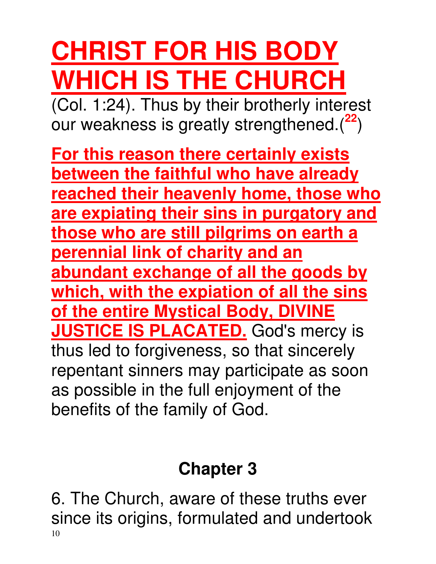# **CHRIST FOR HIS BODY WHICH IS THE CHURCH**

 $\overline{(Col. 1:24)}$ . Thus by their brotherly interest our weakness is greatly strengthened.(**<sup>22</sup>**)

**For this reason there certainly exists between the faithful who have already reached their heavenly home, those who are expiating their sins in purgatory and those who are still pilgrims on earth a perennial link of charity and an abundant exchange of all the goods by which, with the expiation of all the sins of the entire Mystical Body, DIVINE JUSTICE IS PLACATED.** God's mercy is thus led to forgiveness, so that sincerely repentant sinners may participate as soon as possible in the full enjoyment of the benefits of the family of God.

### **Chapter 3**

10 6. The Church, aware of these truths ever since its origins, formulated and undertook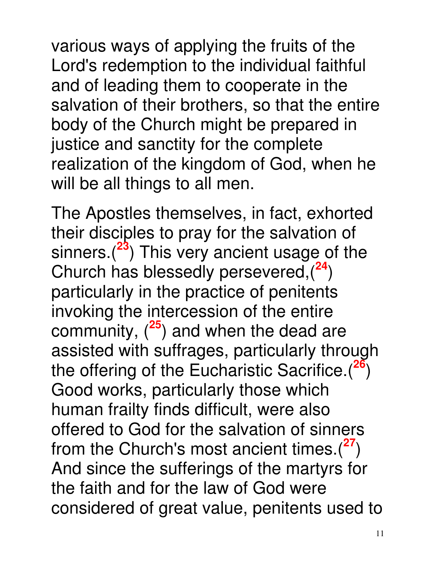various ways of applying the fruits of the Lord's redemption to the individual faithful and of leading them to cooperate in the salvation of their brothers, so that the entire body of the Church might be prepared in justice and sanctity for the complete realization of the kingdom of God, when he will be all things to all men.

The Apostles themselves, in fact, exhorted their disciples to pray for the salvation of sinners.(**<sup>23</sup>**) This very ancient usage of the Church has blessedly persevered,(**<sup>24</sup>**) particularly in the practice of penitents invoking the intercession of the entire community, (**<sup>25</sup>**) and when the dead are assisted with suffrages, particularly through the offering of the Eucharistic Sacrifice.(**<sup>26</sup>**) Good works, particularly those which human frailty finds difficult, were also offered to God for the salvation of sinners from the Church's most ancient times.(**<sup>27</sup>**) And since the sufferings of the martyrs for the faith and for the law of God were considered of great value, penitents used to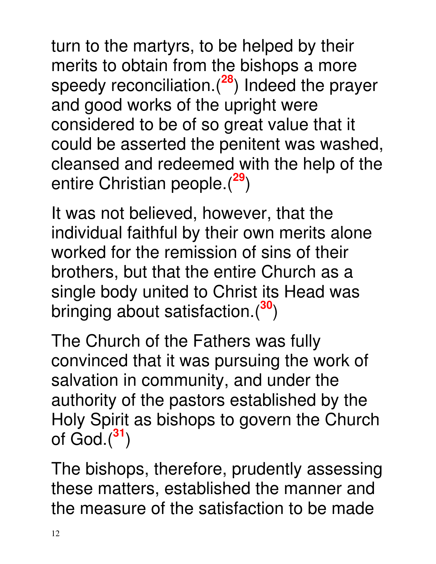turn to the martyrs, to be helped by their merits to obtain from the bishops a more speedy reconciliation.(**<sup>28</sup>**) Indeed the prayer and good works of the upright were considered to be of so great value that it could be asserted the penitent was washed, cleansed and redeemed with the help of the entire Christian people.(**<sup>29</sup>**)

It was not believed, however, that the individual faithful by their own merits alone worked for the remission of sins of their brothers, but that the entire Church as a single body united to Christ its Head was bringing about satisfaction.(**<sup>30</sup>**)

The Church of the Fathers was fully convinced that it was pursuing the work of salvation in community, and under the authority of the pastors established by the Holy Spirit as bishops to govern the Church of God.(**<sup>31</sup>**)

The bishops, therefore, prudently assessing these matters, established the manner and the measure of the satisfaction to be made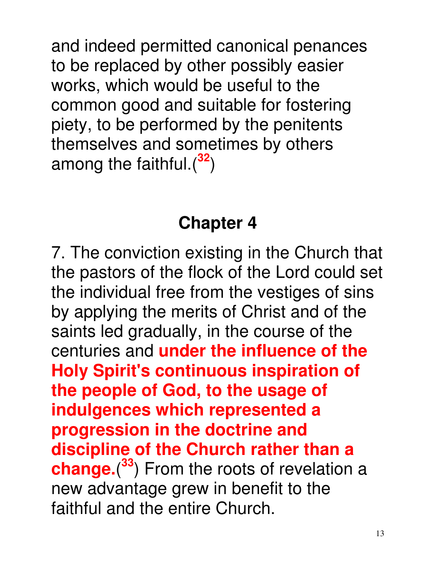and indeed permitted canonical penances to be replaced by other possibly easier works, which would be useful to the common good and suitable for fostering piety, to be performed by the penitents themselves and sometimes by others among the faithful.(**<sup>32</sup>**)

### **Chapter 4**

7. The conviction existing in the Church that the pastors of the flock of the Lord could set the individual free from the vestiges of sins by applying the merits of Christ and of the saints led gradually, in the course of the centuries and **under the influence of the Holy Spirit's continuous inspiration of the people of God, to the usage of indulgences which represented a progression in the doctrine and discipline of the Church rather than a change.**( **<sup>33</sup>**) From the roots of revelation a new advantage grew in benefit to the faithful and the entire Church.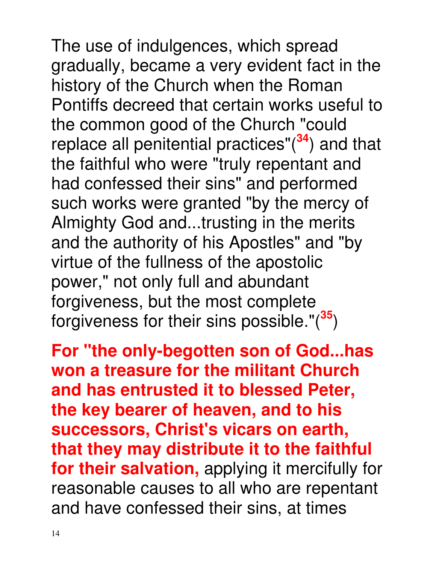The use of indulgences, which spread gradually, became a very evident fact in the history of the Church when the Roman Pontiffs decreed that certain works useful to the common good of the Church "could replace all penitential practices"(**<sup>34</sup>**) and that the faithful who were "truly repentant and had confessed their sins" and performed such works were granted "by the mercy of Almighty God and...trusting in the merits and the authority of his Apostles" and "by virtue of the fullness of the apostolic power," not only full and abundant forgiveness, but the most complete forgiveness for their sins possible."(**<sup>35</sup>**)

**For "the only-begotten son of God...has won a treasure for the militant Church and has entrusted it to blessed Peter, the key bearer of heaven, and to his successors, Christ's vicars on earth, that they may distribute it to the faithful for their salvation,** applying it mercifully for reasonable causes to all who are repentant and have confessed their sins, at times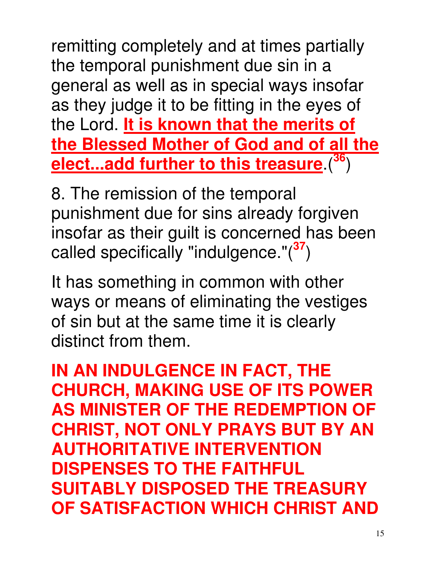remitting completely and at times partially the temporal punishment due sin in a general as well as in special ways insofar as they judge it to be fitting in the eyes of the Lord. **It is known that the merits of the Blessed Mother of God and of all the elect...add further to this treasure**.(**<sup>36</sup>**)

8. The remission of the temporal punishment due for sins already forgiven insofar as their guilt is concerned has been called specifically "indulgence."(**<sup>37</sup>**)

It has something in common with other ways or means of eliminating the vestiges of sin but at the same time it is clearly distinct from them.

**IN AN INDULGENCE IN FACT, THE CHURCH, MAKING USE OF ITS POWER AS MINISTER OF THE REDEMPTION OF CHRIST, NOT ONLY PRAYS BUT BY AN AUTHORITATIVE INTERVENTION DISPENSES TO THE FAITHFUL SUITABLY DISPOSED THE TREASURY OF SATISFACTION WHICH CHRIST AND**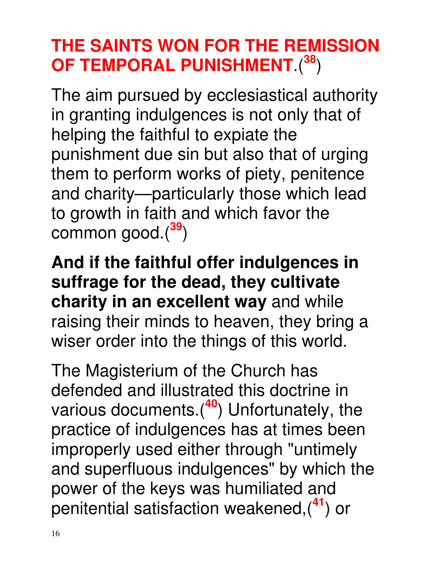### **THE SAINTS WON FOR THE REMISSION OF TEMPORAL PUNISHMENT**.(**<sup>38</sup>**)

The aim pursued by ecclesiastical authority in granting indulgences is not only that of helping the faithful to expiate the punishment due sin but also that of urging them to perform works of piety, penitence and charity—particularly those which lead to growth in faith and which favor the common good.(**<sup>39</sup>**)

**And if the faithful offer indulgences in suffrage for the dead, they cultivate charity in an excellent way** and while raising their minds to heaven, they bring a wiser order into the things of this world.

The Magisterium of the Church has defended and illustrated this doctrine in various documents.(**<sup>40</sup>**) Unfortunately, the practice of indulgences has at times been improperly used either through "untimely and superfluous indulgences" by which the power of the keys was humiliated and penitential satisfaction weakened,(**<sup>41</sup>**) or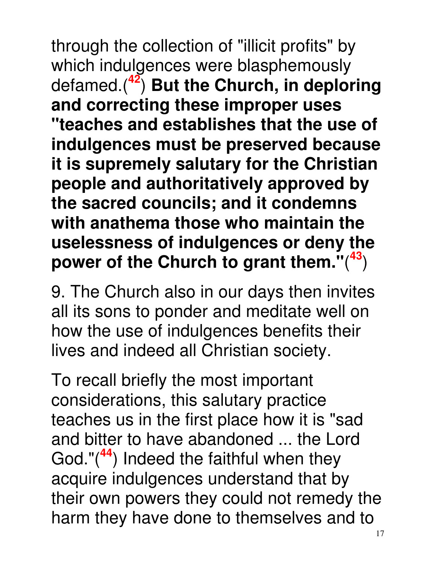through the collection of "illicit profits" by which indulgences were blasphemously defamed.(**<sup>42</sup>**) **But the Church, in deploring and correcting these improper uses "teaches and establishes that the use of indulgences must be preserved because it is supremely salutary for the Christian people and authoritatively approved by the sacred councils; and it condemns with anathema those who maintain the uselessness of indulgences or deny the power of the Church to grant them."**( **<sup>43</sup>**)

9. The Church also in our days then invites all its sons to ponder and meditate well on how the use of indulgences benefits their lives and indeed all Christian society.

To recall briefly the most important considerations, this salutary practice teaches us in the first place how it is "sad and bitter to have abandoned ... the Lord God."(**<sup>44</sup>**) Indeed the faithful when they acquire indulgences understand that by their own powers they could not remedy the harm they have done to themselves and to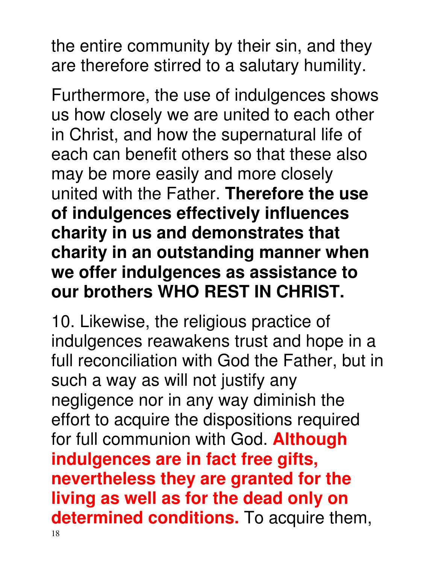the entire community by their sin, and they are therefore stirred to a salutary humility.

Furthermore, the use of indulgences shows us how closely we are united to each other in Christ, and how the supernatural life of each can benefit others so that these also may be more easily and more closely united with the Father. **Therefore the use of indulgences effectively influences charity in us and demonstrates that charity in an outstanding manner when we offer indulgences as assistance to our brothers WHO REST IN CHRIST.**

10. Likewise, the religious practice of indulgences reawakens trust and hope in a full reconciliation with God the Father, but in such a way as will not justify any negligence nor in any way diminish the effort to acquire the dispositions required for full communion with God. **Although indulgences are in fact free gifts, nevertheless they are granted for the living as well as for the dead only on determined conditions.** To acquire them,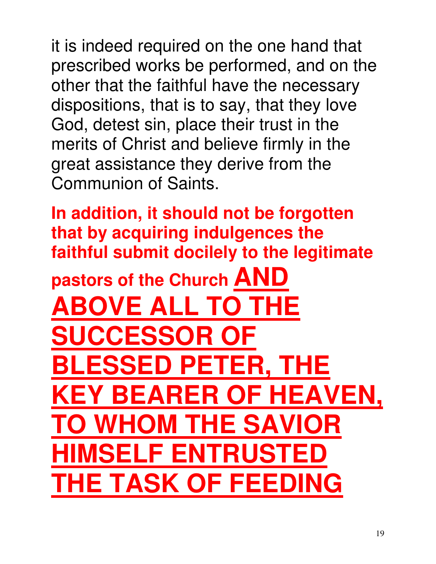it is indeed required on the one hand that prescribed works be performed, and on the other that the faithful have the necessary dispositions, that is to say, that they love God, detest sin, place their trust in the merits of Christ and believe firmly in the great assistance they derive from the Communion of Saints.

**In addition, it should not be forgotten that by acquiring indulgences the faithful submit docilely to the legitimate pastors of the Church AND BOVE ALL TO THE CCESSOR BLESSED PETER, THE BEARER OF HEAVEN. TO WHOM THE SAVIOR HIMSELF ENTRUSTED THE TASK OF FEEDING**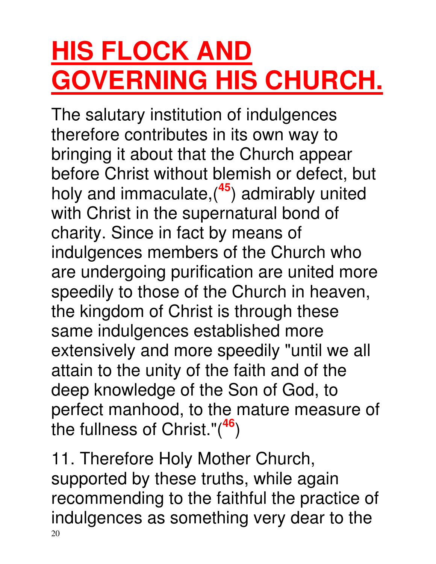## **HIS FLOCK AND GOVERNING HIS CHURCH.**

The salutary institution of indulgences therefore contributes in its own way to bringing it about that the Church appear before Christ without blemish or defect, but holy and immaculate,(**<sup>45</sup>**) admirably united with Christ in the supernatural bond of charity. Since in fact by means of indulgences members of the Church who are undergoing purification are united more speedily to those of the Church in heaven, the kingdom of Christ is through these same indulgences established more extensively and more speedily "until we all attain to the unity of the faith and of the deep knowledge of the Son of God, to perfect manhood, to the mature measure of the fullness of Christ."(**<sup>46</sup>**)

20 11. Therefore Holy Mother Church, supported by these truths, while again recommending to the faithful the practice of indulgences as something very dear to the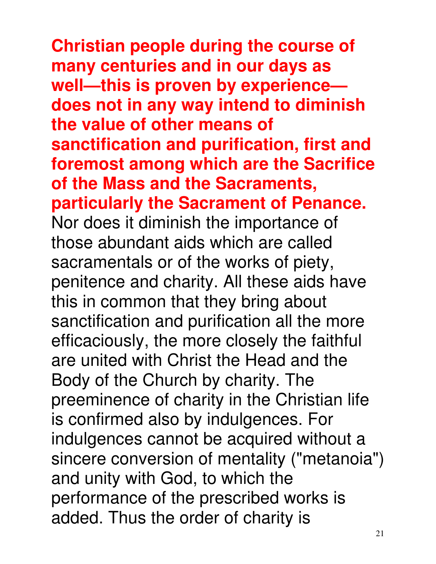**Christian people during the course of many centuries and in our days as well—this is proven by experience does not in any way intend to diminish the value of other means of sanctification and purification, first and foremost among which are the Sacrifice of the Mass and the Sacraments, particularly the Sacrament of Penance.** Nor does it diminish the importance of those abundant aids which are called sacramentals or of the works of piety, penitence and charity. All these aids have this in common that they bring about sanctification and purification all the more efficaciously, the more closely the faithful are united with Christ the Head and the Body of the Church by charity. The preeminence of charity in the Christian life is confirmed also by indulgences. For indulgences cannot be acquired without a sincere conversion of mentality ("metanoia") and unity with God, to which the performance of the prescribed works is added. Thus the order of charity is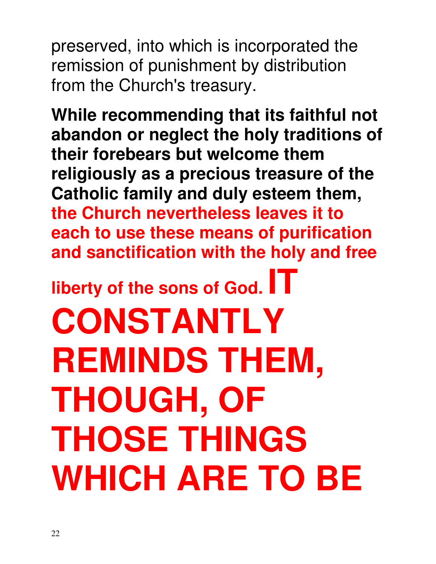preserved, into which is incorporated the remission of punishment by distribution from the Church's treasury.

**While recommending that its faithful not abandon or neglect the holy traditions of their forebears but welcome them religiously as a precious treasure of the Catholic family and duly esteem them, the Church nevertheless leaves it to each to use these means of purification and sanctification with the holy and free** 

**liberty of the sons of God. IT** 

**CONSTANTLY REMINDS THEM, THOUGH, OF THOSE THINGS WHICH ARE TO BE**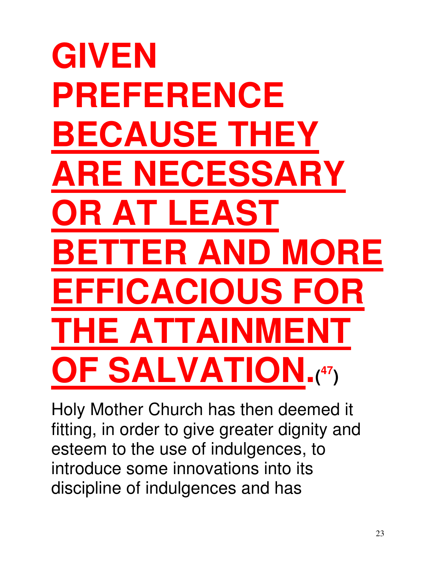# **GIVEN PREFERENCE BECAUSE THEY ARE NECESSARY OR AT LEAST BETTER AND MORE EFFICACIOUS FOR THE ATTAINMENT OF SALVATION.( <sup>47</sup>)**

Holy Mother Church has then deemed it fitting, in order to give greater dignity and esteem to the use of indulgences, to introduce some innovations into its discipline of indulgences and has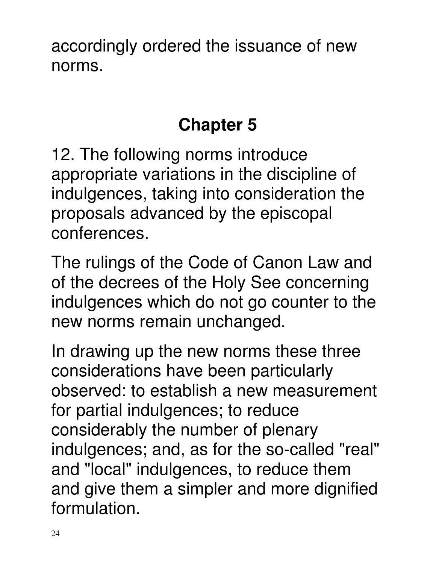accordingly ordered the issuance of new norms.

### **Chapter 5**

12. The following norms introduce appropriate variations in the discipline of indulgences, taking into consideration the proposals advanced by the episcopal conferences.

The rulings of the Code of Canon Law and of the decrees of the Holy See concerning indulgences which do not go counter to the new norms remain unchanged.

In drawing up the new norms these three considerations have been particularly observed: to establish a new measurement for partial indulgences; to reduce considerably the number of plenary indulgences; and, as for the so-called "real" and "local" indulgences, to reduce them and give them a simpler and more dignified formulation.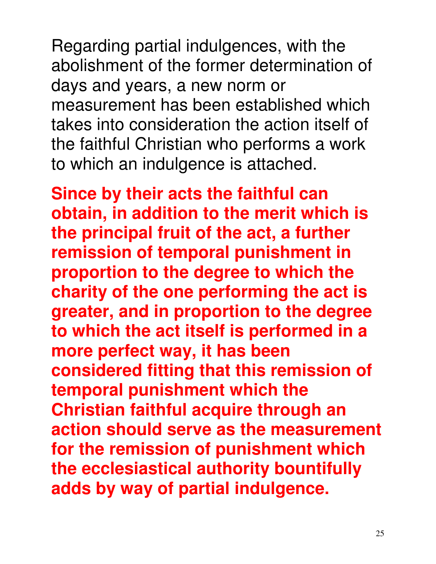Regarding partial indulgences, with the abolishment of the former determination of days and years, a new norm or measurement has been established which takes into consideration the action itself of the faithful Christian who performs a work to which an indulgence is attached.

**Since by their acts the faithful can obtain, in addition to the merit which is the principal fruit of the act, a further remission of temporal punishment in proportion to the degree to which the charity of the one performing the act is greater, and in proportion to the degree to which the act itself is performed in a more perfect way, it has been considered fitting that this remission of temporal punishment which the Christian faithful acquire through an action should serve as the measurement for the remission of punishment which the ecclesiastical authority bountifully adds by way of partial indulgence.**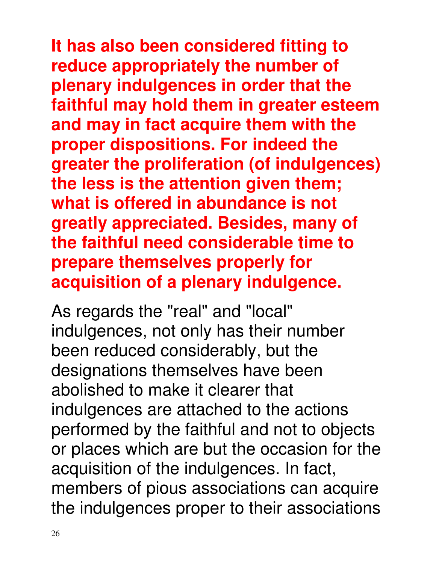### **It has also been considered fitting to reduce appropriately the number of plenary indulgences in order that the faithful may hold them in greater esteem and may in fact acquire them with the proper dispositions. For indeed the greater the proliferation (of indulgences) the less is the attention given them; what is offered in abundance is not greatly appreciated. Besides, many of the faithful need considerable time to prepare themselves properly for acquisition of a plenary indulgence.**

As regards the "real" and "local" indulgences, not only has their number been reduced considerably, but the designations themselves have been abolished to make it clearer that indulgences are attached to the actions performed by the faithful and not to objects or places which are but the occasion for the acquisition of the indulgences. In fact, members of pious associations can acquire the indulgences proper to their associations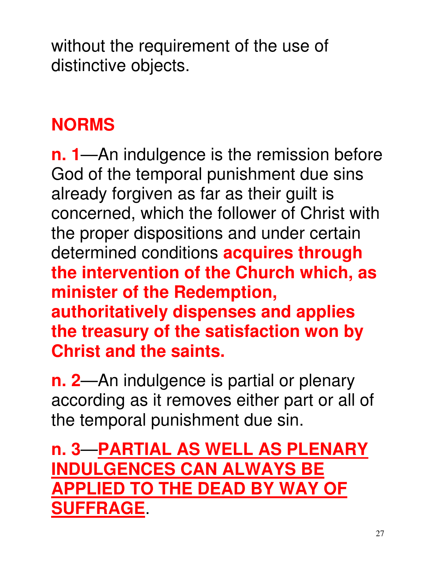without the requirement of the use of distinctive objects.

### **NORMS**

**n. 1**—An indulgence is the remission before God of the temporal punishment due sins already forgiven as far as their guilt is concerned, which the follower of Christ with the proper dispositions and under certain determined conditions **acquires through the intervention of the Church which, as minister of the Redemption, authoritatively dispenses and applies the treasury of the satisfaction won by Christ and the saints.**

**n. 2**—An indulgence is partial or plenary according as it removes either part or all of the temporal punishment due sin.

### **n. 3**—**PARTIAL AS WELL AS PLENARY INDULGENCES CAN ALWAYS BE APPLIED TO THE DEAD BY WAY OF SUFFRAGE**.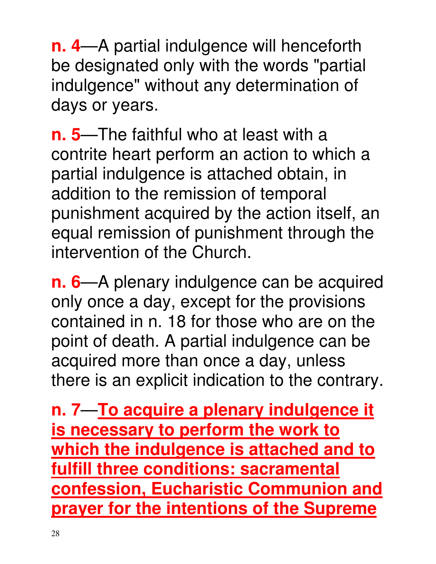**n. 4**—A partial indulgence will henceforth be designated only with the words "partial indulgence" without any determination of days or years.

**n. 5**—The faithful who at least with a contrite heart perform an action to which a partial indulgence is attached obtain, in addition to the remission of temporal punishment acquired by the action itself, an equal remission of punishment through the intervention of the Church.

**n. 6**—A plenary indulgence can be acquired only once a day, except for the provisions contained in n. 18 for those who are on the point of death. A partial indulgence can be acquired more than once a day, unless there is an explicit indication to the contrary.

**n. 7**—**To acquire a plenary indulgence it is necessary to perform the work to which the indulgence is attached and to fulfill three conditions: sacramental confession, Eucharistic Communion and prayer for the intentions of the Supreme**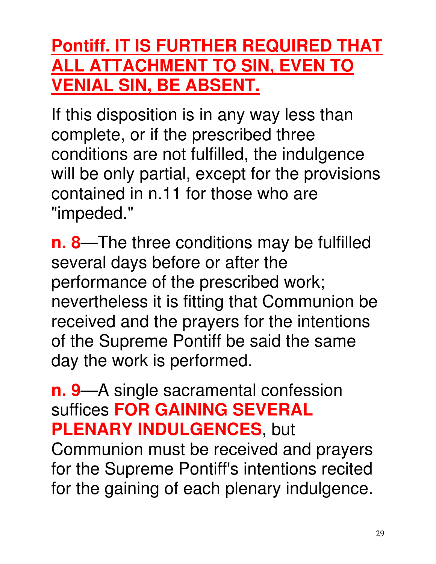### **Pontiff. IT IS FURTHER REQUIRED THAT ALL ATTACHMENT TO SIN, EVEN TO VENIAL SIN, BE ABSENT.**

If this disposition is in any way less than complete, or if the prescribed three conditions are not fulfilled, the indulgence will be only partial, except for the provisions contained in n.11 for those who are "impeded."

**n. 8**—The three conditions may be fulfilled several days before or after the performance of the prescribed work; nevertheless it is fitting that Communion be received and the prayers for the intentions of the Supreme Pontiff be said the same day the work is performed.

### **n. 9**—A single sacramental confession suffices **FOR GAINING SEVERAL PLENARY INDULGENCES**, but

Communion must be received and prayers for the Supreme Pontiff's intentions recited for the gaining of each plenary indulgence.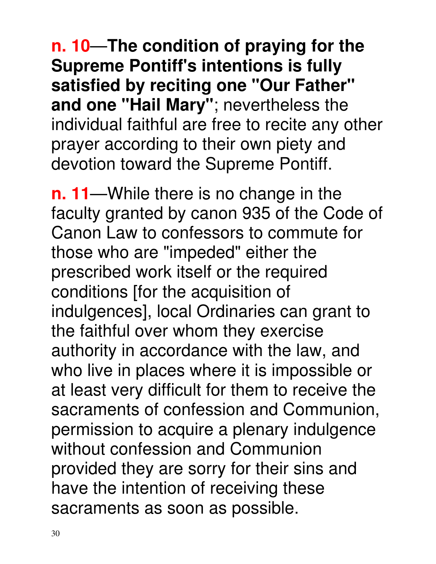**n. 10**—**The condition of praying for the Supreme Pontiff's intentions is fully satisfied by reciting one "Our Father" and one "Hail Mary"**; nevertheless the individual faithful are free to recite any other prayer according to their own piety and devotion toward the Supreme Pontiff.

**n. 11**—While there is no change in the faculty granted by canon 935 of the Code of Canon Law to confessors to commute for those who are "impeded" either the prescribed work itself or the required conditions [for the acquisition of indulgences], local Ordinaries can grant to the faithful over whom they exercise authority in accordance with the law, and who live in places where it is impossible or at least very difficult for them to receive the sacraments of confession and Communion, permission to acquire a plenary indulgence without confession and Communion provided they are sorry for their sins and have the intention of receiving these sacraments as soon as possible.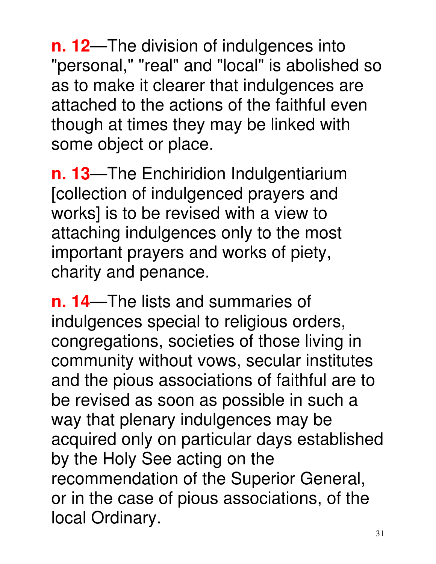**n. 12**—The division of indulgences into "personal," "real" and "local" is abolished so as to make it clearer that indulgences are attached to the actions of the faithful even though at times they may be linked with some object or place.

**n. 13**—The Enchiridion Indulgentiarium [collection of indulgenced prayers and works] is to be revised with a view to attaching indulgences only to the most important prayers and works of piety, charity and penance.

**n. 14**—The lists and summaries of indulgences special to religious orders, congregations, societies of those living in community without vows, secular institutes and the pious associations of faithful are to be revised as soon as possible in such a way that plenary indulgences may be acquired only on particular days established by the Holy See acting on the recommendation of the Superior General, or in the case of pious associations, of the local Ordinary.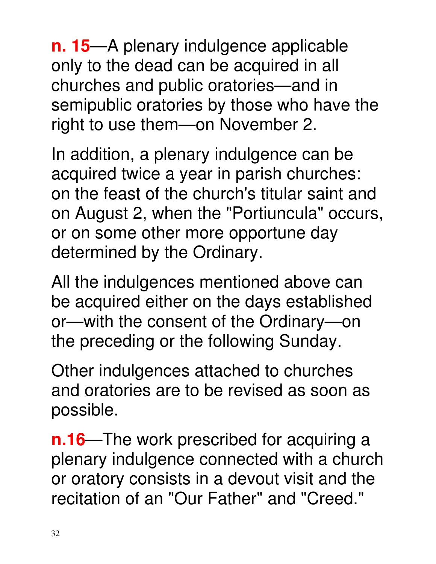**n. 15**—A plenary indulgence applicable only to the dead can be acquired in all churches and public oratories—and in semipublic oratories by those who have the right to use them—on November 2.

In addition, a plenary indulgence can be acquired twice a year in parish churches: on the feast of the church's titular saint and on August 2, when the "Portiuncula" occurs, or on some other more opportune day determined by the Ordinary.

All the indulgences mentioned above can be acquired either on the days established or—with the consent of the Ordinary—on the preceding or the following Sunday.

Other indulgences attached to churches and oratories are to be revised as soon as possible.

**n.16—The work prescribed for acquiring a** plenary indulgence connected with a church or oratory consists in a devout visit and the recitation of an "Our Father" and "Creed."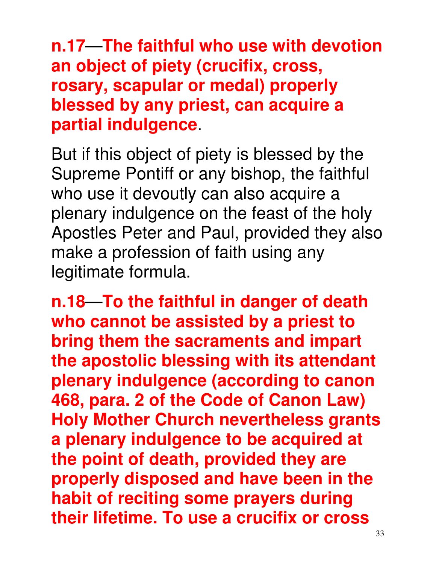**n.17**—**The faithful who use with devotion an object of piety (crucifix, cross, rosary, scapular or medal) properly blessed by any priest, can acquire a partial indulgence**.

But if this object of piety is blessed by the Supreme Pontiff or any bishop, the faithful who use it devoutly can also acquire a plenary indulgence on the feast of the holy Apostles Peter and Paul, provided they also make a profession of faith using any legitimate formula.

**n.18**—**To the faithful in danger of death who cannot be assisted by a priest to bring them the sacraments and impart the apostolic blessing with its attendant plenary indulgence (according to canon 468, para. 2 of the Code of Canon Law) Holy Mother Church nevertheless grants a plenary indulgence to be acquired at the point of death, provided they are properly disposed and have been in the habit of reciting some prayers during their lifetime. To use a crucifix or cross**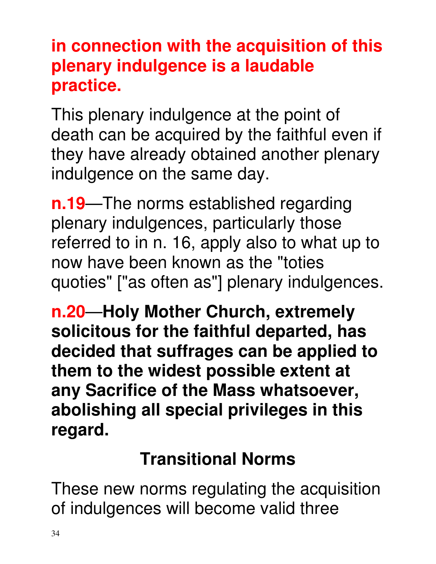### **in connection with the acquisition of this plenary indulgence is a laudable practice.**

This plenary indulgence at the point of death can be acquired by the faithful even if they have already obtained another plenary indulgence on the same day.

**n.19**—The norms established regarding plenary indulgences, particularly those referred to in n. 16, apply also to what up to now have been known as the "toties quoties" ["as often as"] plenary indulgences.

**n.20**—**Holy Mother Church, extremely solicitous for the faithful departed, has decided that suffrages can be applied to them to the widest possible extent at any Sacrifice of the Mass whatsoever, abolishing all special privileges in this regard.** 

### **Transitional Norms**

These new norms regulating the acquisition of indulgences will become valid three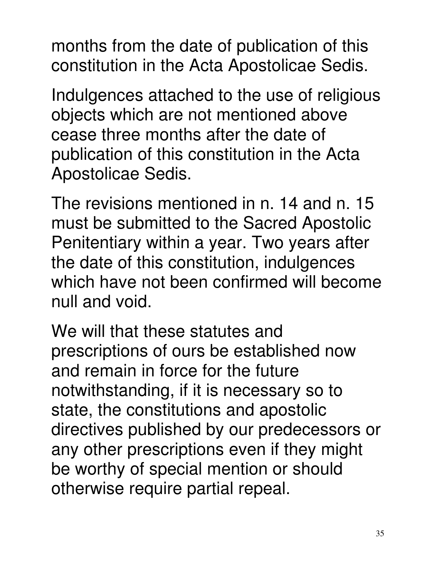months from the date of publication of this constitution in the Acta Apostolicae Sedis.

Indulgences attached to the use of religious objects which are not mentioned above cease three months after the date of publication of this constitution in the Acta Apostolicae Sedis.

The revisions mentioned in n. 14 and n. 15 must be submitted to the Sacred Apostolic Penitentiary within a year. Two years after the date of this constitution, indulgences which have not been confirmed will become null and void.

We will that these statutes and prescriptions of ours be established now and remain in force for the future notwithstanding, if it is necessary so to state, the constitutions and apostolic directives published by our predecessors or any other prescriptions even if they might be worthy of special mention or should otherwise require partial repeal.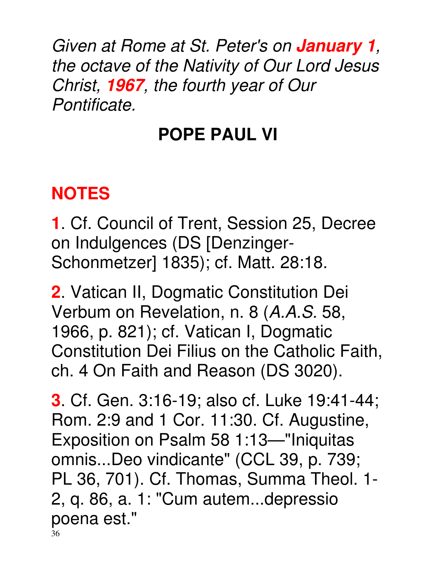Given at Rome at St. Peter's on **January 1**, the octave of the Nativity of Our Lord Jesus Christ, **1967**, the fourth year of Our Pontificate.

### **POPE PAUL VI**

### **NOTES**

**1**. Cf. Council of Trent, Session 25, Decree on Indulgences (DS [Denzinger-Schonmetzer] 1835); cf. Matt. 28:18.

**2**. Vatican II, Dogmatic Constitution Dei Verbum on Revelation, n. 8 (A.A.S. 58, 1966, p. 821); cf. Vatican I, Dogmatic Constitution Dei Filius on the Catholic Faith, ch. 4 On Faith and Reason (DS 3020).

36 **3**. Cf. Gen. 3:16-19; also cf. Luke 19:41-44; Rom. 2:9 and 1 Cor. 11:30. Cf. Augustine, Exposition on Psalm 58 1:13—"Iniquitas omnis...Deo vindicante" (CCL 39, p. 739; PL 36, 701). Cf. Thomas, Summa Theol. 1- 2, q. 86, a. 1: "Cum autem...depressio poena est."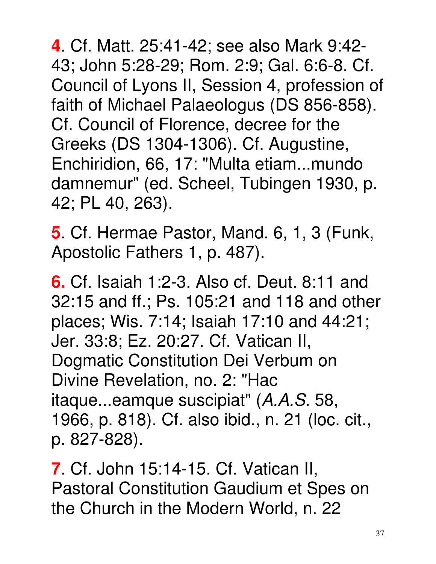**4**. Cf. Matt. 25:41-42; see also Mark 9:42- 43; John 5:28-29; Rom. 2:9; Gal. 6:6-8. Cf. Council of Lyons II, Session 4, profession of faith of Michael Palaeologus (DS 856-858). Cf. Council of Florence, decree for the Greeks (DS 1304-1306). Cf. Augustine, Enchiridion, 66, 17: "Multa etiam...mundo damnemur" (ed. Scheel, Tubingen 1930, p. 42; PL 40, 263).

**5**. Cf. Hermae Pastor, Mand. 6, 1, 3 (Funk, Apostolic Fathers 1, p. 487).

**6.** Cf. Isaiah 1:2-3. Also cf. Deut. 8:11 and 32:15 and ff.; Ps. 105:21 and 118 and other places; Wis. 7:14; Isaiah 17:10 and 44:21; Jer. 33:8; Ez. 20:27. Cf. Vatican II, Dogmatic Constitution Dei Verbum on Divine Revelation, no. 2: "Hac itaque...eamque suscipiat" (A.A.S. 58, 1966, p. 818). Cf. also ibid., n. 21 (loc. cit., p. 827-828).

**7**. Cf. John 15:14-15. Cf. Vatican II, Pastoral Constitution Gaudium et Spes on the Church in the Modern World, n. 22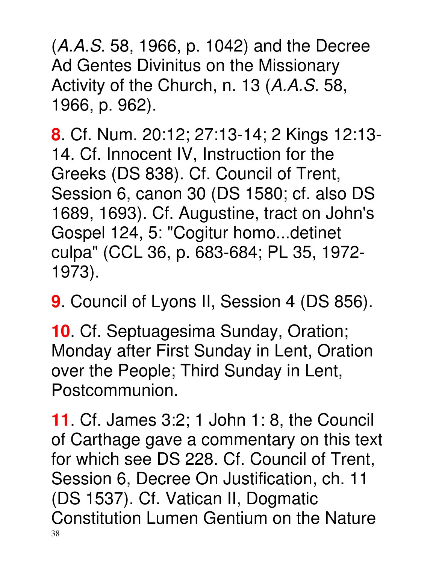(A.A.S. 58, 1966, p. 1042) and the Decree Ad Gentes Divinitus on the Missionary Activity of the Church, n. 13 (A.A.S. 58, 1966, p. 962).

**8**. Cf. Num. 20:12; 27:13-14; 2 Kings 12:13- 14. Cf. Innocent IV, Instruction for the Greeks (DS 838). Cf. Council of Trent, Session 6, canon 30 (DS 1580; cf. also DS 1689, 1693). Cf. Augustine, tract on John's Gospel 124, 5: "Cogitur homo...detinet culpa" (CCL 36, p. 683-684; PL 35, 1972- 1973).

**9**. Council of Lyons II, Session 4 (DS 856).

**10**. Cf. Septuagesima Sunday, Oration; Monday after First Sunday in Lent, Oration over the People; Third Sunday in Lent, Postcommunion.

38 **11**. Cf. James 3:2; 1 John 1: 8, the Council of Carthage gave a commentary on this text for which see DS 228. Cf. Council of Trent, Session 6, Decree On Justification, ch. 11 (DS 1537). Cf. Vatican II, Dogmatic Constitution Lumen Gentium on the Nature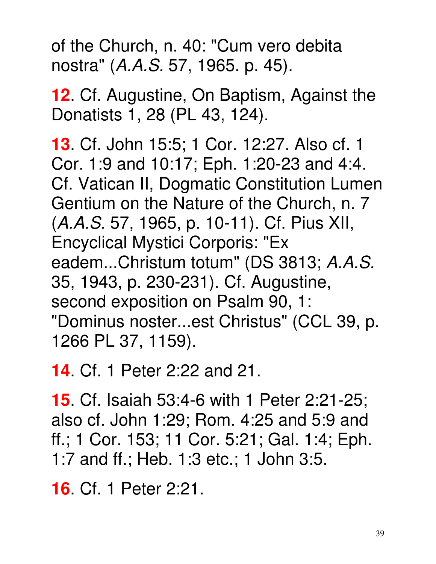of the Church, n. 40: "Cum vero debita nostra" (A.A.S. 57, 1965. p. 45).

**12**. Cf. Augustine, On Baptism, Against the Donatists 1, 28 (PL 43, 124).

**13**. Cf. John 15:5; 1 Cor. 12:27. Also cf. 1 Cor. 1:9 and 10:17; Eph. 1:20-23 and 4:4. Cf. Vatican II, Dogmatic Constitution Lumen Gentium on the Nature of the Church, n. 7 (A.A.S. 57, 1965, p. 10-11). Cf. Pius XII, Encyclical Mystici Corporis: "Ex eadem...Christum totum" (DS 3813; A.A.S. 35, 1943, p. 230-231). Cf. Augustine, second exposition on Psalm 90, 1: "Dominus noster...est Christus" (CCL 39, p. 1266 PL 37, 1159).

**14**. Cf. 1 Peter 2:22 and 21.

**15**. Cf. Isaiah 53:4-6 with 1 Peter 2:21-25; also cf. John 1:29; Rom. 4:25 and 5:9 and ff.; 1 Cor. 153; 11 Cor. 5:21; Gal. 1:4; Eph. 1:7 and ff.; Heb. 1:3 etc.; 1 John 3:5.

**16**. Cf. 1 Peter 2:21.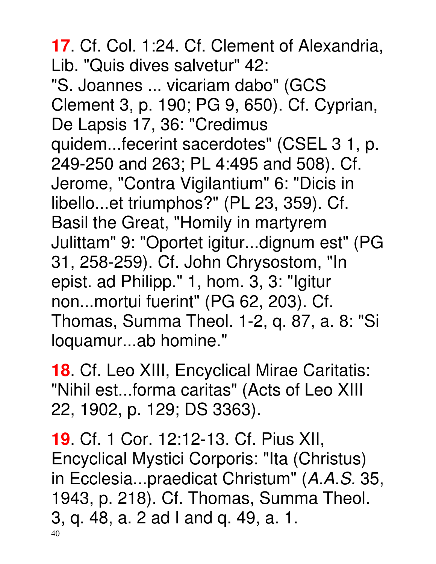**17**. Cf. Col. 1:24. Cf. Clement of Alexandria, Lib. "Quis dives salvetur" 42: "S. Joannes ... vicariam dabo" (GCS Clement 3, p. 190; PG 9, 650). Cf. Cyprian, De Lapsis 17, 36: "Credimus quidem...fecerint sacerdotes" (CSEL 3 1, p. 249-250 and 263; PL 4:495 and 508). Cf. Jerome, "Contra Vigilantium" 6: "Dicis in libello...et triumphos?" (PL 23, 359). Cf. Basil the Great, "Homily in martyrem Julittam" 9: "Oportet igitur...dignum est" (PG 31, 258-259). Cf. John Chrysostom, "In epist. ad Philipp." 1, hom. 3, 3: "Igitur non...mortui fuerint" (PG 62, 203). Cf. Thomas, Summa Theol. 1-2, q. 87, a. 8: "Si loquamur...ab homine."

**18**. Cf. Leo XIII, Encyclical Mirae Caritatis: "Nihil est...forma caritas" (Acts of Leo XIII 22, 1902, p. 129; DS 3363).

40 **19**. Cf. 1 Cor. 12:12-13. Cf. Pius XII, Encyclical Mystici Corporis: "Ita (Christus) in Ecclesia...praedicat Christum" (A.A.S. 35, 1943, p. 218). Cf. Thomas, Summa Theol. 3, q. 48, a. 2 ad I and q. 49, a. 1.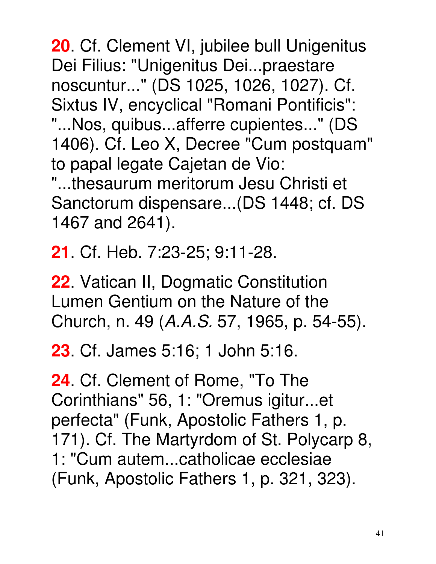**20**. Cf. Clement VI, jubilee bull Unigenitus Dei Filius: "Unigenitus Dei...praestare noscuntur..." (DS 1025, 1026, 1027). Cf. Sixtus IV, encyclical "Romani Pontificis": "...Nos, quibus...afferre cupientes..." (DS 1406). Cf. Leo X, Decree "Cum postquam" to papal legate Cajetan de Vio: "...thesaurum meritorum Jesu Christi et Sanctorum dispensare...(DS 1448; cf. DS 1467 and 2641).

**21**. Cf. Heb. 7:23-25; 9:11-28.

**22**. Vatican II, Dogmatic Constitution Lumen Gentium on the Nature of the Church, n. 49 (A.A.S. 57, 1965, p. 54-55).

**23**. Cf. James 5:16; 1 John 5:16.

**24**. Cf. Clement of Rome, "To The Corinthians" 56, 1: "Oremus igitur...et perfecta" (Funk, Apostolic Fathers 1, p. 171). Cf. The Martyrdom of St. Polycarp 8, 1: "Cum autem...catholicae ecclesiae (Funk, Apostolic Fathers 1, p. 321, 323).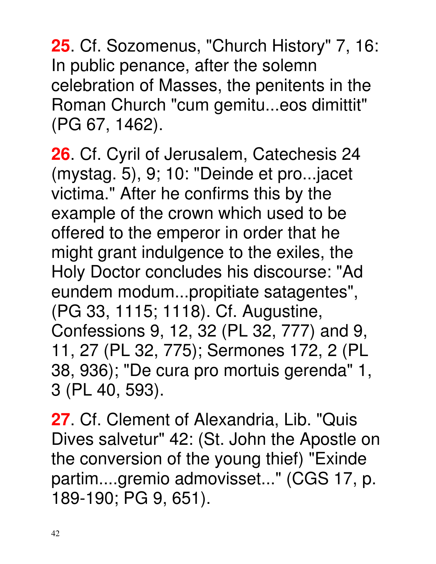**25**. Cf. Sozomenus, "Church History" 7, 16: In public penance, after the solemn celebration of Masses, the penitents in the Roman Church "cum gemitu...eos dimittit" (PG 67, 1462).

**26**. Cf. Cyril of Jerusalem, Catechesis 24 (mystag. 5), 9; 10: "Deinde et pro...jacet victima." After he confirms this by the example of the crown which used to be offered to the emperor in order that he might grant indulgence to the exiles, the Holy Doctor concludes his discourse: "Ad eundem modum...propitiate satagentes", (PG 33, 1115; 1118). Cf. Augustine, Confessions 9, 12, 32 (PL 32, 777) and 9, 11, 27 (PL 32, 775); Sermones 172, 2 (PL 38, 936); "De cura pro mortuis gerenda" 1, 3 (PL 40, 593).

27 Cf. Clement of Alexandria, Lib. "Quis Dives salvetur" 42: (St. John the Apostle on the conversion of the young thief) "Exinde partim....gremio admovisset..." (CGS 17, p. 189-190; PG 9, 651).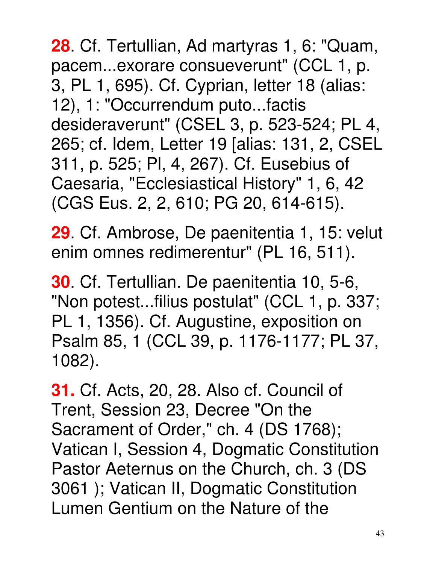43

**28**. Cf. Tertullian, Ad martyras 1, 6: "Quam, pacem...exorare consueverunt" (CCL 1, p. 3, PL 1, 695). Cf. Cyprian, letter 18 (alias: 12), 1: "Occurrendum puto...factis desideraverunt" (CSEL 3, p. 523-524; PL 4, 265; cf. Idem, Letter 19 [alias: 131, 2, CSEL 311, p. 525; Pl, 4, 267). Cf. Eusebius of Caesaria, "Ecclesiastical History" 1, 6, 42 (CGS Eus. 2, 2, 610; PG 20, 614-615).

**29**. Cf. Ambrose, De paenitentia 1, 15: velut enim omnes redimerentur" (PL 16, 511).

**30**. Cf. Tertullian. De paenitentia 10, 5-6, "Non potest...filius postulat" (CCL 1, p. 337; PL 1, 1356). Cf. Augustine, exposition on Psalm 85, 1 (CCL 39, p. 1176-1177; PL 37, 1082).

**31.** Cf. Acts, 20, 28. Also cf. Council of Trent, Session 23, Decree "On the Sacrament of Order," ch. 4 (DS 1768); Vatican I, Session 4, Dogmatic Constitution Pastor Aeternus on the Church, ch. 3 (DS 3061 ); Vatican II, Dogmatic Constitution Lumen Gentium on the Nature of the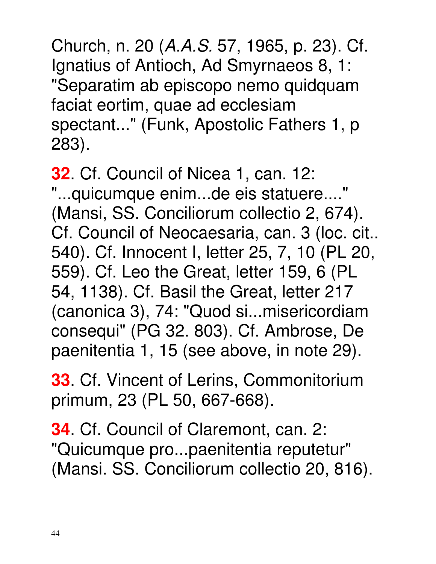Church, n. 20 (A.A.S. 57, 1965, p. 23). Cf. Ignatius of Antioch, Ad Smyrnaeos 8, 1: "Separatim ab episcopo nemo quidquam faciat eortim, quae ad ecclesiam spectant..." (Funk, Apostolic Fathers 1, p 283).

**32**. Cf. Council of Nicea 1, can. 12: "...quicumque enim...de eis statuere...." (Mansi, SS. Conciliorum collectio 2, 674). Cf. Council of Neocaesaria, can. 3 (loc. cit.. 540). Cf. Innocent I, letter 25, 7, 10 (PL 20, 559). Cf. Leo the Great, letter 159, 6 (PL 54, 1138). Cf. Basil the Great, letter 217 (canonica 3), 74: "Quod si...misericordiam consequi" (PG 32. 803). Cf. Ambrose, De paenitentia 1, 15 (see above, in note 29).

**33**. Cf. Vincent of Lerins, Commonitorium primum, 23 (PL 50, 667-668).

**34**. Cf. Council of Claremont, can. 2: "Quicumque pro...paenitentia reputetur" (Mansi. SS. Conciliorum collectio 20, 816).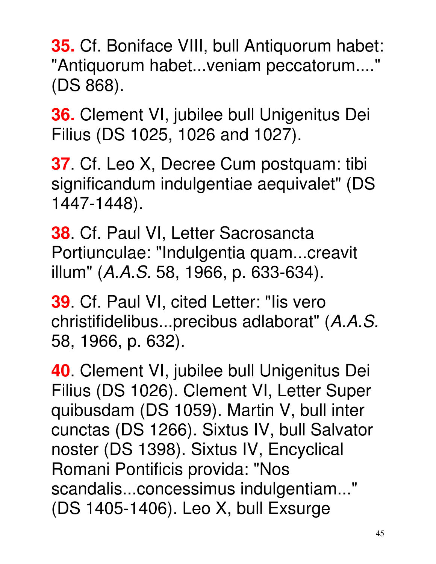**35.** Cf. Boniface VIII, bull Antiquorum habet: "Antiquorum habet...veniam peccatorum...." (DS 868).

**36.** Clement VI, jubilee bull Unigenitus Dei Filius (DS 1025, 1026 and 1027).

**37**. Cf. Leo X, Decree Cum postquam: tibi significandum indulgentiae aequivalet" (DS 1447-1448).

**38**. Cf. Paul VI, Letter Sacrosancta Portiunculae: "Indulgentia quam...creavit illum" (A.A.S. 58, 1966, p. 633-634).

**39**. Cf. Paul VI, cited Letter: "Iis vero christifidelibus...precibus adlaborat" (A.A.S. 58, 1966, p. 632).

**40**. Clement VI, jubilee bull Unigenitus Dei Filius (DS 1026). Clement VI, Letter Super quibusdam (DS 1059). Martin V, bull inter cunctas (DS 1266). Sixtus IV, bull Salvator noster (DS 1398). Sixtus IV, Encyclical Romani Pontificis provida: "Nos scandalis...concessimus indulgentiam..." (DS 1405-1406). Leo X, bull Exsurge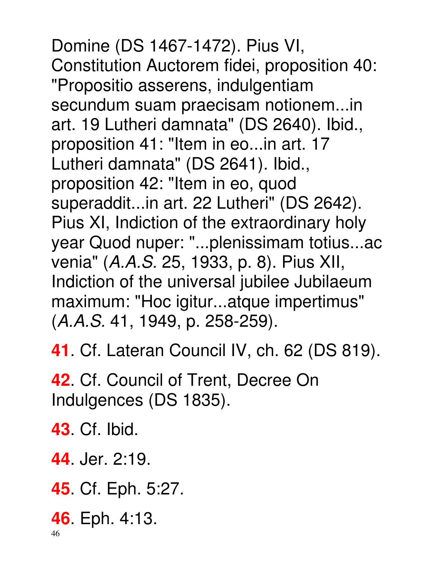Domine (DS 1467-1472). Pius VI, Constitution Auctorem fidei, proposition 40: "Propositio asserens, indulgentiam secundum suam praecisam notionem...in art. 19 Lutheri damnata" (DS 2640). Ibid., proposition 41: "Item in eo...in art. 17 Lutheri damnata" (DS 2641). Ibid., proposition 42: "Item in eo, quod superaddit...in art. 22 Lutheri" (DS 2642). Pius XI, Indiction of the extraordinary holy year Quod nuper: "...plenissimam totius...ac venia" (A.A.S. 25, 1933, p. 8). Pius XII, Indiction of the universal jubilee Jubilaeum maximum: "Hoc igitur...atque impertimus" (A.A.S. 41, 1949, p. 258-259).

**41**. Cf. Lateran Council IV, ch. 62 (DS 819).

**42**. Cf. Council of Trent, Decree On Indulgences (DS 1835).

**43**. Cf. Ibid.

**44**. Jer. 2:19.

**45**. Cf. Eph. 5:27.

**46**. Eph. 4:13.